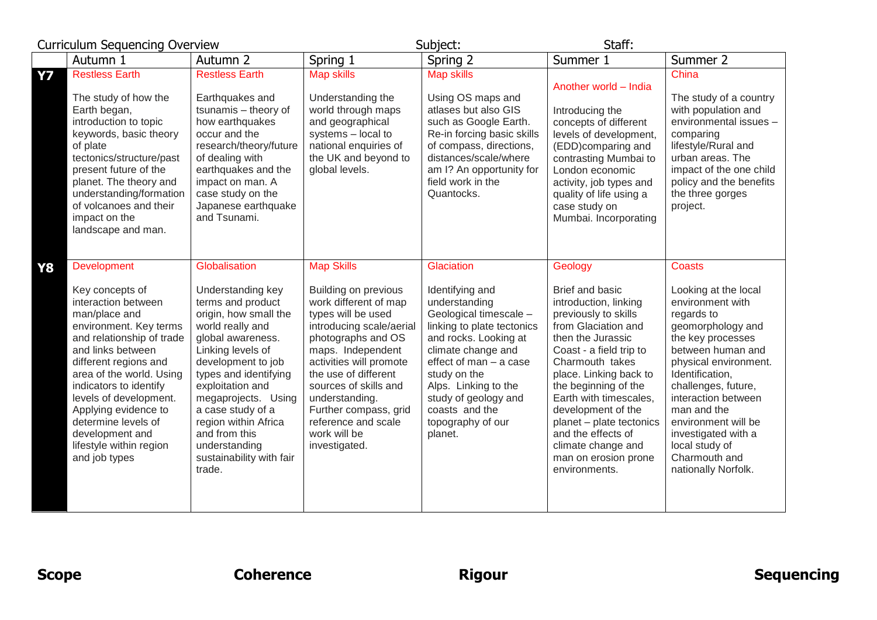| <b>Curriculum Sequencing Overview</b>                                                                                                                                                                                                                                                                                                                                                  |                                                                                                                                                                                                                                                                                                                                                               | Subject:<br>Staff:                                                                                                                                                                                                                                                                                                                                    |                                                                                                                                                                                                                                                                                                   |                                                                                                                                                                                                                                                                                                                                                                                          |                                                                                                                                                                                                                                                                                                                                                         |
|----------------------------------------------------------------------------------------------------------------------------------------------------------------------------------------------------------------------------------------------------------------------------------------------------------------------------------------------------------------------------------------|---------------------------------------------------------------------------------------------------------------------------------------------------------------------------------------------------------------------------------------------------------------------------------------------------------------------------------------------------------------|-------------------------------------------------------------------------------------------------------------------------------------------------------------------------------------------------------------------------------------------------------------------------------------------------------------------------------------------------------|---------------------------------------------------------------------------------------------------------------------------------------------------------------------------------------------------------------------------------------------------------------------------------------------------|------------------------------------------------------------------------------------------------------------------------------------------------------------------------------------------------------------------------------------------------------------------------------------------------------------------------------------------------------------------------------------------|---------------------------------------------------------------------------------------------------------------------------------------------------------------------------------------------------------------------------------------------------------------------------------------------------------------------------------------------------------|
| Autumn 1                                                                                                                                                                                                                                                                                                                                                                               | Autumn 2                                                                                                                                                                                                                                                                                                                                                      | Spring 1                                                                                                                                                                                                                                                                                                                                              | Spring 2                                                                                                                                                                                                                                                                                          | Summer 1                                                                                                                                                                                                                                                                                                                                                                                 | Summer 2                                                                                                                                                                                                                                                                                                                                                |
| <b>Restless Earth</b><br><b>Y7</b><br>The study of how the<br>Earth began,<br>introduction to topic<br>keywords, basic theory<br>of plate<br>tectonics/structure/past<br>present future of the<br>planet. The theory and<br>understanding/formation<br>of volcanoes and their<br>impact on the<br>landscape and man.                                                                   | <b>Restless Earth</b><br>Earthquakes and<br>tsunamis - theory of<br>how earthquakes<br>occur and the<br>research/theory/future<br>of dealing with<br>earthquakes and the<br>impact on man. A<br>case study on the<br>Japanese earthquake<br>and Tsunami.                                                                                                      | Map skills<br>Understanding the<br>world through maps<br>and geographical<br>systems - local to<br>national enquiries of<br>the UK and beyond to<br>global levels.                                                                                                                                                                                    | <b>Map skills</b><br>Using OS maps and<br>atlases but also GIS<br>such as Google Earth.<br>Re-in forcing basic skills<br>of compass, directions,<br>distances/scale/where<br>am I? An opportunity for<br>field work in the<br>Quantocks.                                                          | Another world - India<br>Introducing the<br>concepts of different<br>levels of development,<br>(EDD)comparing and<br>contrasting Mumbai to<br>London economic<br>activity, job types and<br>quality of life using a<br>case study on<br>Mumbai. Incorporating                                                                                                                            | China<br>The study of a country<br>with population and<br>environmental issues -<br>comparing<br>lifestyle/Rural and<br>urban areas. The<br>impact of the one child<br>policy and the benefits<br>the three gorges<br>project.                                                                                                                          |
| <b>Development</b><br>Y8<br>Key concepts of<br>interaction between<br>man/place and<br>environment. Key terms<br>and relationship of trade<br>and links between<br>different regions and<br>area of the world. Using<br>indicators to identify<br>levels of development.<br>Applying evidence to<br>determine levels of<br>development and<br>lifestyle within region<br>and job types | Globalisation<br>Understanding key<br>terms and product<br>origin, how small the<br>world really and<br>global awareness.<br>Linking levels of<br>development to job<br>types and identifying<br>exploitation and<br>megaprojects. Using<br>a case study of a<br>region within Africa<br>and from this<br>understanding<br>sustainability with fair<br>trade. | <b>Map Skills</b><br><b>Building on previous</b><br>work different of map<br>types will be used<br>introducing scale/aerial<br>photographs and OS<br>maps. Independent<br>activities will promote<br>the use of different<br>sources of skills and<br>understanding.<br>Further compass, grid<br>reference and scale<br>work will be<br>investigated. | Glaciation<br>Identifying and<br>understanding<br>Geological timescale -<br>linking to plate tectonics<br>and rocks. Looking at<br>climate change and<br>effect of man - a case<br>study on the<br>Alps. Linking to the<br>study of geology and<br>coasts and the<br>topography of our<br>planet. | Geology<br>Brief and basic<br>introduction, linking<br>previously to skills<br>from Glaciation and<br>then the Jurassic<br>Coast - a field trip to<br>Charmouth takes<br>place. Linking back to<br>the beginning of the<br>Earth with timescales.<br>development of the<br>planet - plate tectonics<br>and the effects of<br>climate change and<br>man on erosion prone<br>environments. | <b>Coasts</b><br>Looking at the local<br>environment with<br>regards to<br>geomorphology and<br>the key processes<br>between human and<br>physical environment.<br>Identification,<br>challenges, future,<br>interaction between<br>man and the<br>environment will be<br>investigated with a<br>local study of<br>Charmouth and<br>nationally Norfolk. |